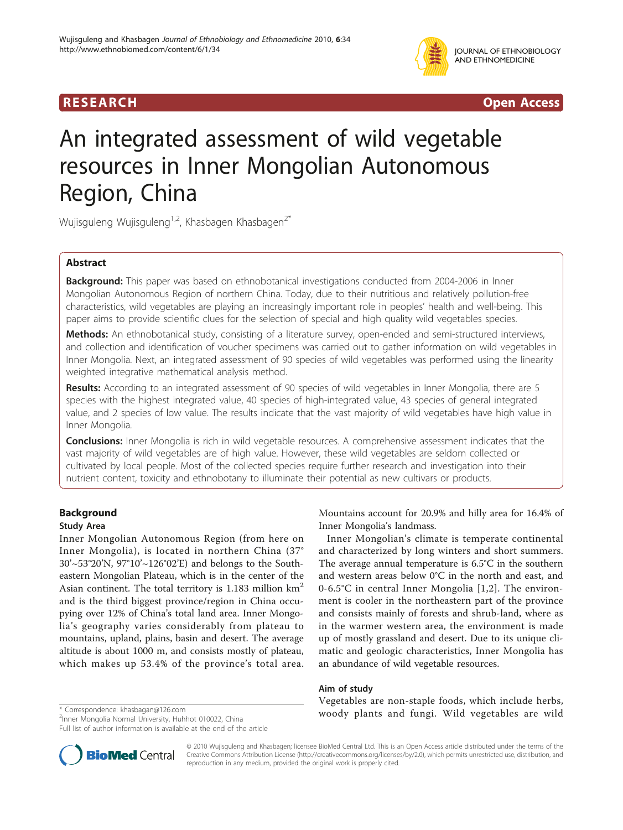

R E S EARCH Open Access

# An integrated assessment of wild vegetable resources in Inner Mongolian Autonomous Region, China

Wujisguleng Wujisguleng<sup>1,2</sup>, Khasbagen Khasbagen<sup>2\*</sup>

# Abstract

Background: This paper was based on ethnobotanical investigations conducted from 2004-2006 in Inner Mongolian Autonomous Region of northern China. Today, due to their nutritious and relatively pollution-free characteristics, wild vegetables are playing an increasingly important role in peoples' health and well-being. This paper aims to provide scientific clues for the selection of special and high quality wild vegetables species.

Methods: An ethnobotanical study, consisting of a literature survey, open-ended and semi-structured interviews, and collection and identification of voucher specimens was carried out to gather information on wild vegetables in Inner Mongolia. Next, an integrated assessment of 90 species of wild vegetables was performed using the linearity weighted integrative mathematical analysis method.

Results: According to an integrated assessment of 90 species of wild vegetables in Inner Mongolia, there are 5 species with the highest integrated value, 40 species of high-integrated value, 43 species of general integrated value, and 2 species of low value. The results indicate that the vast majority of wild vegetables have high value in Inner Mongolia.

**Conclusions:** Inner Mongolia is rich in wild vegetable resources. A comprehensive assessment indicates that the vast majority of wild vegetables are of high value. However, these wild vegetables are seldom collected or cultivated by local people. Most of the collected species require further research and investigation into their nutrient content, toxicity and ethnobotany to illuminate their potential as new cultivars or products.

# Background

# Study Area

Inner Mongolian Autonomous Region (from here on Inner Mongolia), is located in northern China (37° 30'~53°20'N, 97°10'~126°02'E) and belongs to the Southeastern Mongolian Plateau, which is in the center of the Asian continent. The total territory is  $1.183$  million  $km<sup>2</sup>$ and is the third biggest province/region in China occupying over 12% of China's total land area. Inner Mongolia's geography varies considerably from plateau to mountains, upland, plains, basin and desert. The average altitude is about 1000 m, and consists mostly of plateau, which makes up 53.4% of the province's total area.

2 Inner Mongolia Normal University, Huhhot 010022, China

Full list of author information is available at the end of the article

Mountains account for 20.9% and hilly area for 16.4% of Inner Mongolia's landmass.

Inner Mongolian's climate is temperate continental and characterized by long winters and short summers. The average annual temperature is 6.5°C in the southern and western areas below 0°C in the north and east, and 0-6.5°C in central Inner Mongolia [[1,2](#page-6-0)]. The environment is cooler in the northeastern part of the province and consists mainly of forests and shrub-land, where as in the warmer western area, the environment is made up of mostly grassland and desert. Due to its unique climatic and geologic characteristics, Inner Mongolia has an abundance of wild vegetable resources.

# Aim of study

Vegetables are non-staple foods, which include herbs, woody plants and fungi. Wild vegetables are wild \* Correspondence: [khasbagan@126.com](mailto:khasbagan@126.com)



© 2010 Wujisguleng and Khasbagen; licensee BioMed Central Ltd. This is an Open Access article distributed under the terms of the Creative Commons Attribution License (<http://creativecommons.org/licenses/by/2.0>), which permits unrestricted use, distribution, and reproduction in any medium, provided the original work is properly cited.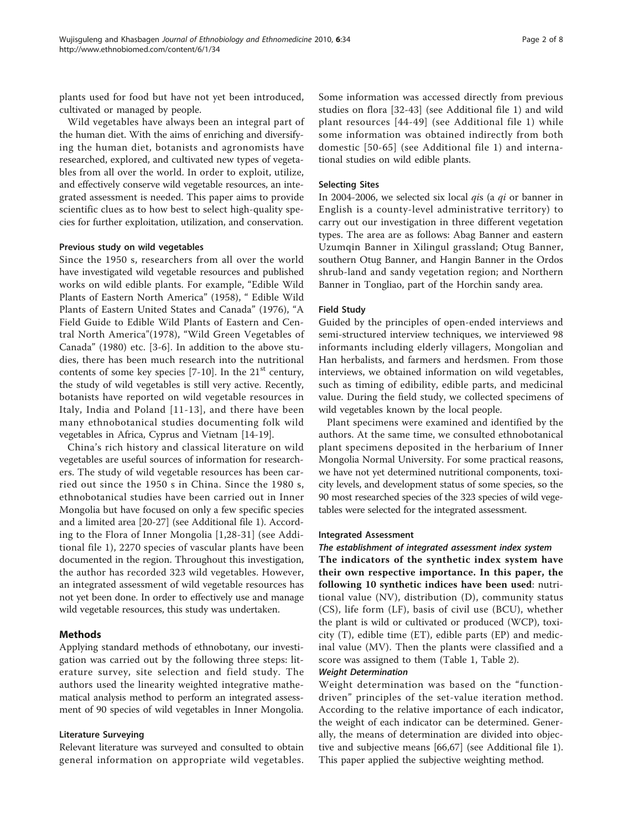plants used for food but have not yet been introduced, cultivated or managed by people.

Wild vegetables have always been an integral part of the human diet. With the aims of enriching and diversifying the human diet, botanists and agronomists have researched, explored, and cultivated new types of vegetables from all over the world. In order to exploit, utilize, and effectively conserve wild vegetable resources, an integrated assessment is needed. This paper aims to provide scientific clues as to how best to select high-quality species for further exploitation, utilization, and conservation.

#### Previous study on wild vegetables

Since the 1950 s, researchers from all over the world have investigated wild vegetable resources and published works on wild edible plants. For example, "Edible Wild Plants of Eastern North America" (1958), " Edible Wild Plants of Eastern United States and Canada" (1976), "A Field Guide to Edible Wild Plants of Eastern and Central North America"(1978), "Wild Green Vegetables of Canada" (1980) etc. [[3-6\]](#page-6-0). In addition to the above studies, there has been much research into the nutritional contents of some key species [[7-](#page-6-0)[10\]](#page-7-0). In the  $21<sup>st</sup>$  century, the study of wild vegetables is still very active. Recently, botanists have reported on wild vegetable resources in Italy, India and Poland [[11](#page-7-0)-[13\]](#page-7-0), and there have been many ethnobotanical studies documenting folk wild vegetables in Africa, Cyprus and Vietnam [[14-19\]](#page-7-0).

China's rich history and classical literature on wild vegetables are useful sources of information for researchers. The study of wild vegetable resources has been carried out since the 1950 s in China. Since the 1980 s, ethnobotanical studies have been carried out in Inner Mongolia but have focused on only a few specific species and a limited area [[20-27\]](#page-7-0) (see Additional file [1](#page-6-0)). According to the Flora of Inner Mongolia [\[1](#page-6-0),[28-31\]](#page-7-0) (see Additional file [1](#page-6-0)), 2270 species of vascular plants have been documented in the region. Throughout this investigation, the author has recorded 323 wild vegetables. However, an integrated assessment of wild vegetable resources has not yet been done. In order to effectively use and manage wild vegetable resources, this study was undertaken.

### Methods

Applying standard methods of ethnobotany, our investigation was carried out by the following three steps: literature survey, site selection and field study. The authors used the linearity weighted integrative mathematical analysis method to perform an integrated assessment of 90 species of wild vegetables in Inner Mongolia.

### Literature Surveying

Relevant literature was surveyed and consulted to obtain general information on appropriate wild vegetables.

Some information was accessed directly from previous studies on flora [[32-43\]](#page-7-0) (see Additional file [1\)](#page-6-0) and wild plant resources [[44](#page-7-0)-[49\]](#page-7-0) (see Additional file [1](#page-6-0)) while some information was obtained indirectly from both domestic [\[50-65](#page-7-0)] (see Additional file [1\)](#page-6-0) and international studies on wild edible plants.

#### Selecting Sites

In 2004-2006, we selected six local *qis* (a  $qi$  or banner in English is a county-level administrative territory) to carry out our investigation in three different vegetation types. The area are as follows: Abag Banner and eastern Uzumqin Banner in Xilingul grassland; Otug Banner, southern Otug Banner, and Hangin Banner in the Ordos shrub-land and sandy vegetation region; and Northern Banner in Tongliao, part of the Horchin sandy area.

#### Field Study

Guided by the principles of open-ended interviews and semi-structured interview techniques, we interviewed 98 informants including elderly villagers, Mongolian and Han herbalists, and farmers and herdsmen. From those interviews, we obtained information on wild vegetables, such as timing of edibility, edible parts, and medicinal value. During the field study, we collected specimens of wild vegetables known by the local people.

Plant specimens were examined and identified by the authors. At the same time, we consulted ethnobotanical plant specimens deposited in the herbarium of Inner Mongolia Normal University. For some practical reasons, we have not yet determined nutritional components, toxicity levels, and development status of some species, so the 90 most researched species of the 323 species of wild vegetables were selected for the integrated assessment.

#### Integrated Assessment

The establishment of integrated assessment index system The indicators of the synthetic index system have their own respective importance. In this paper, the following 10 synthetic indices have been used: nutritional value (NV), distribution (D), community status (CS), life form (LF), basis of civil use (BCU), whether the plant is wild or cultivated or produced (WCP), toxicity (T), edible time (ET), edible parts (EP) and medicinal value (MV). Then the plants were classified and a score was assigned to them (Table [1,](#page-2-0) Table [2](#page-2-0)).

#### Weight Determination

Weight determination was based on the "functiondriven" principles of the set-value iteration method. According to the relative importance of each indicator, the weight of each indicator can be determined. Generally, the means of determination are divided into objective and subjective means [[66,67\]](#page-7-0) (see Additional file [1](#page-6-0)). This paper applied the subjective weighting method.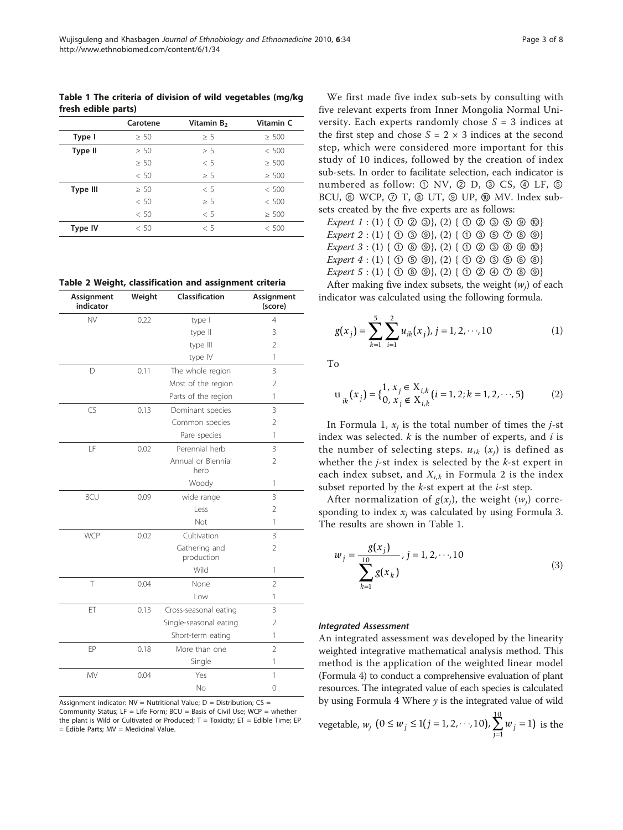<span id="page-2-0"></span>Table 1 The criteria of division of wild vegetables (mg/kg fresh edible parts)

|          | Carotene  | Vitamin B <sub>2</sub> | Vitamin C  |
|----------|-----------|------------------------|------------|
| Type I   | > 50      | > 5                    | $\geq 500$ |
| Type II  | $\geq 50$ | > 5                    | < 500      |
|          | > 50      | < 5                    | $\geq 500$ |
|          | < 50      | > 5                    | $\geq 500$ |
| Type III | $\geq 50$ | < 5                    | < 500      |
|          | < 50      | > 5                    | < 500      |
|          | < 50      | < 5                    | $\geq 500$ |
| Type IV  | < 50      | < 5                    | < 500      |

Table 2 Weight, classification and assignment criteria

| Assignment<br>indicator | Weight | <b>Classification</b>       | Assignment<br>(score) |
|-------------------------|--------|-----------------------------|-----------------------|
| <b>NV</b>               | 0.22   | type I                      | 4                     |
|                         |        | type II                     | 3                     |
|                         |        | type III                    | $\mathfrak{D}$        |
|                         |        | type IV                     | 1                     |
| D                       | 0.11   | The whole region            | 3                     |
|                         |        | Most of the region          | $\overline{2}$        |
|                         |        | Parts of the region         | 1                     |
| CS                      | 0.13   | Dominant species            | 3                     |
|                         |        | Common species              | $\overline{2}$        |
|                         |        | Rare species                | 1                     |
| LF                      | 0.02   | Perennial herb              | 3                     |
|                         |        | Annual or Biennial<br>herb  | $\overline{2}$        |
|                         |        | Woody                       | 1                     |
| <b>BCU</b>              | 0.09   | wide range                  | 3                     |
|                         |        | Less                        | 2                     |
|                         |        | Not                         | 1                     |
| <b>WCP</b>              | 0.02   | Cultivation                 | 3                     |
|                         |        | Gathering and<br>production | $\overline{2}$        |
|                         |        | Wild                        | 1                     |
| T                       | 0.04   | None                        | $\overline{2}$        |
|                         |        | l ow                        | 1                     |
| ET                      | 0.13   | Cross-seasonal eating       | 3                     |
|                         |        | Single-seasonal eating      | $\overline{2}$        |
|                         |        | Short-term eating           | 1                     |
| EP                      | 0.18   | More than one               | $\overline{2}$        |
|                         |        | Single                      | 1                     |
| <b>MV</b>               | 0.04   | Yes                         | 1                     |
|                         |        | No                          | 0                     |

Assignment indicator:  $NV =$  Nutritional Value;  $D =$  Distribution;  $CS =$ Community Status; LF = Life Form;  $BCU =$  Basis of Civil Use;  $WCP =$  whether the plant is Wild or Cultivated or Produced;  $T =$  Toxicity;  $ET =$  Edible Time; EP  $=$  Edible Parts: MV = Medicinal Value.

We first made five index sub-sets by consulting with five relevant experts from Inner Mongolia Normal University. Each experts randomly chose  $S = 3$  indices at the first step and chose  $S = 2 \times 3$  indices at the second step, which were considered more important for this study of 10 indices, followed by the creation of index sub-sets. In order to facilitate selection, each indicator is numbered as follow: ① NV, ② D, ③ CS, ④ LF, ⑤

sets created by the five experts are as follows: Expert  $1: (1) \{ \emptyset \emptyset \emptyset \}$ ,  $(2) \{ \emptyset \emptyset \emptyset \emptyset \emptyset \}$  $Expert 2: (1) {\uplus \textcircled{0} \textcircled{0}}$ , (2)  ${\uplus \textcircled{0} \textcircled{0} \textcircled{0}}$  $Expert 3: (1) {\uplus \textcircled{0}} \circledcirc \circledcirc$ , (2) {  $\upcircledcirc \circledcirc \circledcirc \circledcirc \circledcirc$ }  $Expert 4: (1) {\uplus \textcircled{\odot} \textcircled{\odot}}, (2) {\uplus \textcircled{\odot} \textcircled{\odot}} \textcircled{\odot}}$ Expert  $5: (1)$  {  $\odot$   $\odot$   $\odot$   $\odot$  }, (2) {  $\odot$   $\odot$   $\odot$   $\odot$   $\odot$   $\odot$   $\odot$ After making five index subsets, the weight  $(w_i)$  of each

BCU,  $\circledcirc$  WCP,  $\circledcirc$  T,  $\circledcirc$  UT,  $\circledcirc$  UP,  $\circledcirc$  MV. Index sub-

indicator was calculated using the following formula.

$$
g(x_j) = \sum_{k=1}^{5} \sum_{i=1}^{2} u_{ik}(x_j), j = 1, 2, \dots, 10
$$
 (1)

To

$$
\mathbf{u}_{ik}(x_j) = \begin{cases} 1, & x_j \in \mathbf{X}_{i,k} \\ 0, & x_j \notin \mathbf{X}_{i,k} \end{cases} (i = 1, 2; k = 1, 2, \dots, 5)
$$
 (2)

In Formula 1,  $x_i$  is the total number of times the *j*-st index was selected.  $k$  is the number of experts, and  $i$  is the number of selecting steps.  $u_{ik}(x_i)$  is defined as whether the  $j$ -st index is selected by the  $k$ -st expert in each index subset, and  $X_{i,k}$  in Formula 2 is the index subset reported by the  $k$ -st expert at the  $i$ -st step.

After normalization of  $g(x_i)$ , the weight  $(w_i)$  corresponding to index  $x_i$  was calculated by using Formula 3. The results are shown in Table 1.

$$
w_j = \frac{g(x_j)}{\sum_{k=1}^{10} g(x_k)}, j = 1, 2, \dots, 10
$$
 (3)

#### Integrated Assessment

An integrated assessment was developed by the linearity weighted integrative mathematical analysis method. This method is the application of the weighted linear model (Formula 4) to conduct a comprehensive evaluation of plant resources. The integrated value of each species is calculated by using Formula 4 Where  $y$  is the integrated value of wild

vegetable, 
$$
w_j
$$
 (0 ≤  $w_j$  ≤ 1(j = 1, 2, · · ·, 10),  $\sum_{j=1}^{10} w_j$  = 1) is the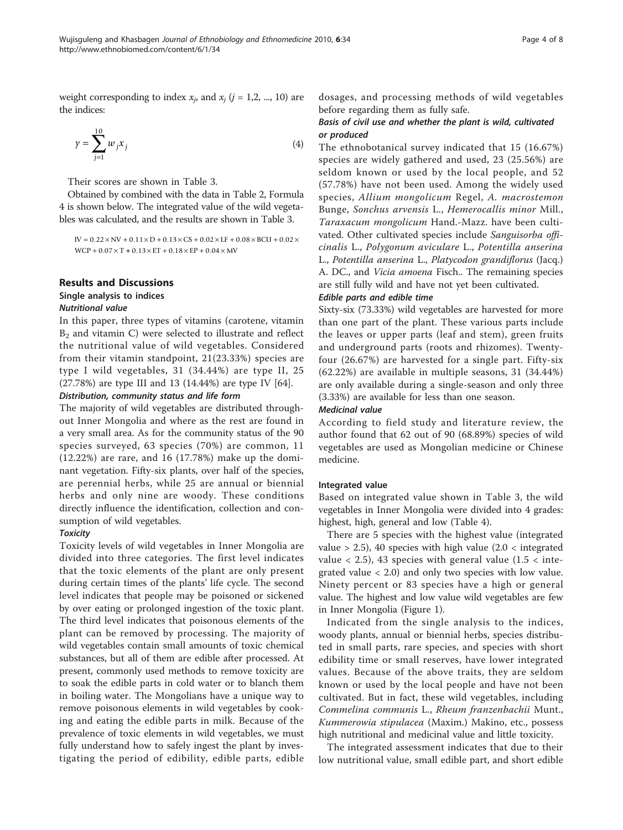weight corresponding to index  $x_j$ , and  $x_j$   $(j = 1, 2, ..., 10)$  are the indices:

$$
\gamma = \sum_{j=1}^{10} w_j x_j \tag{4}
$$

Their scores are shown in Table [3](#page-4-0).

Obtained by combined with the data in Table [2](#page-2-0), Formula 4 is shown below. The integrated value of the wild vegetables was calculated, and the results are shown in Table [3](#page-4-0).

 $\text{IV} = 0.22 \times \text{NV} + 0.11 \times \text{D} + 0.13 \times \text{CS} + 0.02 \times \text{LF} + 0.08 \times \text{BCU} + 0.02 \times$  $WCP + 0.07 \times T + 0.13 \times ET + 0.18 \times EP + 0.04 \times MV$ 

# Results and Discussions Single analysis to indices Nutritional value

In this paper, three types of vitamins (carotene, vitamin  $B<sub>2</sub>$  and vitamin C) were selected to illustrate and reflect the nutritional value of wild vegetables. Considered from their vitamin standpoint, 21(23.33%) species are type I wild vegetables, 31 (34.44%) are type II, 25 (27.78%) are type III and 13 (14.44%) are type IV [\[64](#page-7-0)].

# Distribution, community status and life form

The majority of wild vegetables are distributed throughout Inner Mongolia and where as the rest are found in a very small area. As for the community status of the 90 species surveyed, 63 species (70%) are common, 11 (12.22%) are rare, and 16 (17.78%) make up the dominant vegetation. Fifty-six plants, over half of the species, are perennial herbs, while 25 are annual or biennial herbs and only nine are woody. These conditions directly influence the identification, collection and consumption of wild vegetables.

## **Toxicity**

Toxicity levels of wild vegetables in Inner Mongolia are divided into three categories. The first level indicates that the toxic elements of the plant are only present during certain times of the plants' life cycle. The second level indicates that people may be poisoned or sickened by over eating or prolonged ingestion of the toxic plant. The third level indicates that poisonous elements of the plant can be removed by processing. The majority of wild vegetables contain small amounts of toxic chemical substances, but all of them are edible after processed. At present, commonly used methods to remove toxicity are to soak the edible parts in cold water or to blanch them in boiling water. The Mongolians have a unique way to remove poisonous elements in wild vegetables by cooking and eating the edible parts in milk. Because of the prevalence of toxic elements in wild vegetables, we must fully understand how to safely ingest the plant by investigating the period of edibility, edible parts, edible

dosages, and processing methods of wild vegetables before regarding them as fully safe.

# Basis of civil use and whether the plant is wild, cultivated or produced

The ethnobotanical survey indicated that 15 (16.67%) species are widely gathered and used, 23 (25.56%) are seldom known or used by the local people, and 52 (57.78%) have not been used. Among the widely used species, Allium mongolicum Regel, A. macrostemon Bunge, Sonchus arvensis L., Hemerocallis minor Mill., Taraxacum mongolicum Hand.-Mazz. have been cultivated. Other cultivated species include Sanguisorba officinalis L., Polygonum aviculare L., Potentilla anserina L., Potentilla anserina L., Platycodon grandiflorus (Jacq.) A. DC., and Vicia amoena Fisch.. The remaining species are still fully wild and have not yet been cultivated.

# Edible parts and edible time

Sixty-six (73.33%) wild vegetables are harvested for more than one part of the plant. These various parts include the leaves or upper parts (leaf and stem), green fruits and underground parts (roots and rhizomes). Twentyfour (26.67%) are harvested for a single part. Fifty-six (62.22%) are available in multiple seasons, 31 (34.44%) are only available during a single-season and only three (3.33%) are available for less than one season.

#### Medicinal value

According to field study and literature review, the author found that 62 out of 90 (68.89%) species of wild vegetables are used as Mongolian medicine or Chinese medicine.

#### Integrated value

Based on integrated value shown in Table [3](#page-4-0), the wild vegetables in Inner Mongolia were divided into 4 grades: highest, high, general and low (Table [4](#page-5-0)).

There are 5 species with the highest value (integrated value  $> 2.5$ ), 40 species with high value (2.0 < integrated value  $<$  2.5), 43 species with general value (1.5  $<$  integrated value  $< 2.0$ ) and only two species with low value. Ninety percent or 83 species have a high or general value. The highest and low value wild vegetables are few in Inner Mongolia (Figure [1](#page-6-0)).

Indicated from the single analysis to the indices, woody plants, annual or biennial herbs, species distributed in small parts, rare species, and species with short edibility time or small reserves, have lower integrated values. Because of the above traits, they are seldom known or used by the local people and have not been cultivated. But in fact, these wild vegetables, including Commelina communis L., Rheum franzenbachii Munt., Kummerowia stipulacea (Maxim.) Makino, etc., possess high nutritional and medicinal value and little toxicity.

The integrated assessment indicates that due to their low nutritional value, small edible part, and short edible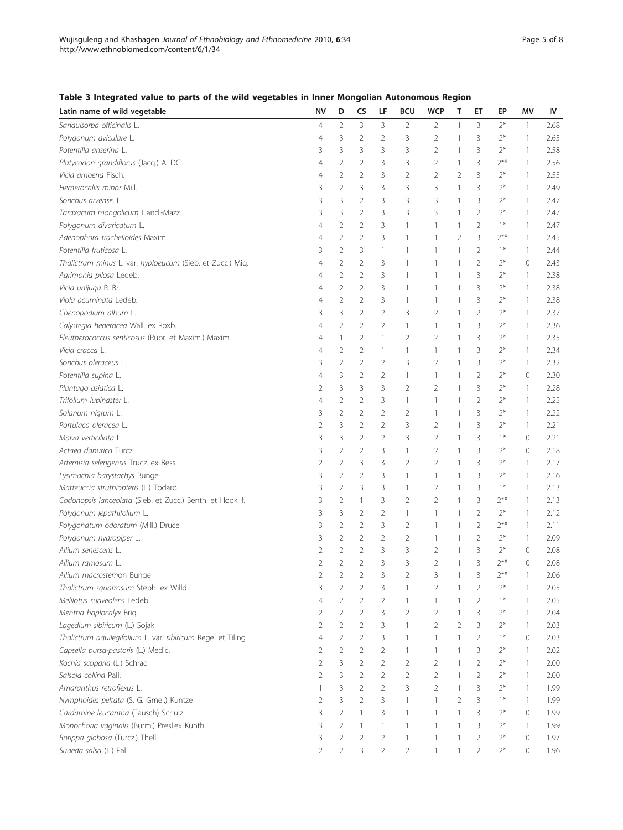<span id="page-4-0"></span>

|  |  |  | Table 3 Integrated value to parts of the wild vegetables in Inner Mongolian Autonomous Region |  |
|--|--|--|-----------------------------------------------------------------------------------------------|--|
|--|--|--|-----------------------------------------------------------------------------------------------|--|

| Latin name of wild vegetable                                | NV             | D              | CS             | LF             | <b>BCU</b>     | <b>WCP</b>     | т              | ET             | EP     | MV             | IV   |
|-------------------------------------------------------------|----------------|----------------|----------------|----------------|----------------|----------------|----------------|----------------|--------|----------------|------|
| Sanguisorba officinalis L.                                  | $\overline{4}$ | 2              | 3              | 3              | 2              | 2              | $\mathbf{1}$   | 3              | $2*$   | $\mathbf{1}$   | 2.68 |
| Polygonum aviculare L.                                      | 4              | 3              | 2              | $\overline{2}$ | 3              | 2              | $\mathbf{1}$   | 3              | $2*$   | 1              | 2.65 |
| Potentilla anserina L.                                      | 3              | 3              | 3              | 3              | 3              | 2              | 1              | 3              | $2*$   | 1              | 2.58 |
| Platycodon grandiflorus (Jacq.) A. DC.                      | 4              | 2              | 2              | 3              | 3              | 2              | $\mathbf{1}$   | 3              | $2***$ | 1              | 2.56 |
| Vicia amoena Fisch.                                         | 4              | $\overline{2}$ | 2              | 3              | 2              | 2              | $\overline{2}$ | 3              | $2*$   | 1              | 2.55 |
| Hemerocallis minor Mill.                                    | 3              | 2              | 3              | 3              | 3              | 3              | $\mathbf{1}$   | 3              | $2*$   | 1              | 2.49 |
| Sonchus arvensis L.                                         | 3              | 3              | 2              | 3              | 3              | 3              | $\mathbf{1}$   | 3              | $2*$   | 1              | 2.47 |
| Taraxacum mongolicum Hand.-Mazz.                            | 3              | 3              | 2              | 3              | 3              | 3              | $\mathbf{1}$   | 2              | $2*$   | 1              | 2.47 |
| Polygonum divaricatum L.                                    | 4              | 2              | 2              | 3              | 1              | 1              | $\mathbf{1}$   | 2              | $1*$   | 1              | 2.47 |
| Adenophora trachelioides Maxim.                             | 4              | $\overline{2}$ | 2              | 3              | 1              | 1              | $\overline{2}$ | 3              | $2***$ | 1              | 2.45 |
| Potentilla fruticosa L.                                     | 3              | 2              | 3              | 1              | -1             | 1              | 1              | 2              | $1*$   | 1              | 2.44 |
| Thalictrum minus L. var. hyploeucum (Sieb. et Zucc.) Miq.   | 4              | $\overline{2}$ | 2              | 3              | 1              | 1              | $\mathbf{1}$   | 2              | $2*$   | 0              | 2.43 |
| Agrimonia pilosa Ledeb.                                     | 4              | $\overline{2}$ | 2              | 3              | -1             | 1              | $\mathbf{1}$   | 3              | $2*$   | 1              | 2.38 |
| Vicia unijuga R. Br.                                        | 4              | $\overline{2}$ | 2              | 3              | 1              | 1              | $\mathbf{1}$   | 3              | $2*$   | 1              | 2.38 |
| Viola acuminata Ledeb.                                      | 4              | 2              | 2              | 3              | 1              | 1              | $\mathbf{1}$   | 3              | $2*$   | 1              | 2.38 |
| Chenopodium album L.                                        | 3              | 3              | 2              | $\overline{2}$ | 3              | 2              | $\mathbf{1}$   | 2              | $2*$   | 1              | 2.37 |
| Calystegia hederacea Wall. ex Roxb.                         | 4              | $\overline{2}$ | 2              | 2              | 1              | 1              | $\mathbf{1}$   | 3              | $2*$   | 1              | 2.36 |
| Eleutherococcus senticosus (Rupr. et Maxim.) Maxim.         | 4              | 1              | 2              | $\overline{1}$ | 2              | 2              | $\mathbf{1}$   | 3              | $2*$   | 1              | 2.35 |
| Vicia cracca L.                                             | 4              | 2              | 2              | $\overline{1}$ | 1              | 1              | $\mathbf{1}$   | 3              | $2*$   | 1              | 2.34 |
| Sonchus oleraceus L.                                        | 3              | $\overline{2}$ | 2              | 2              | 3              | 2              | $\mathbf{1}$   | 3              | $2*$   | 1              | 2.32 |
| Potentilla supina L.                                        | 4              | 3              | 2              | 2              | 1              | 1              | $\mathbf{1}$   | 2              | $2*$   | 0              | 2.30 |
| Plantago asiatica L.                                        | 2              | 3              | 3              | 3              | 2              | 2              | $\mathbf{1}$   | 3              | $2*$   | 1              | 2.28 |
| Trifolium lupinaster L.                                     | 4              | 2              | 2              | 3              | 1              | 1              | $\mathbf{1}$   | 2              | $2*$   | 1              | 2.25 |
| Solanum nigrum L.                                           | 3              | 2              | 2              | $\overline{2}$ | 2              | 1              | $\mathbf{1}$   | 3              | $2*$   | 1              | 2.22 |
| Portulaca oleracea L.                                       | 2              | 3              | 2              | $\overline{2}$ | 3              | 2              | $\mathbf{1}$   | 3              | $2*$   | 1              | 2.21 |
| Malva verticillata L.                                       | 3              | 3              | 2              | $\overline{2}$ | 3              | 2              | $\mathbf{1}$   | 3              | $1*$   | 0              | 2.21 |
| Actaea dahurica Turcz.                                      | 3              | 2              | 2              | 3              | 1              | 2              | $\mathbf{1}$   | 3              | $2*$   | 0              | 2.18 |
| Artemisia selengensis Trucz. ex Bess.                       | 2              | 2              | 3              | 3              | 2              | 2              | $\overline{1}$ | 3              | $2*$   | 1              | 2.17 |
| Lysimachia barystachys Bunge                                | 3              | 2              | 2              | 3              | 1              | 1              | $\mathbf{1}$   | 3              | $2*$   | 1              | 2.16 |
| Matteuccia struthiopteris (L.) Todaro                       | 3              | $\overline{2}$ | 3              | 3              | 1              | 2              | $\mathbf{1}$   | 3              | $1*$   | 1              | 2.13 |
| Codonopsis lanceolata (Sieb. et Zucc.) Benth. et Hook. f.   | 3              | 2              | 1              | 3              | 2              | 2              | $\mathbf{1}$   | 3              | $2***$ | 1              | 2.13 |
| Polygonum lepathifolium L.                                  | 3              | 3              | 2              | $\overline{2}$ | 1              | 1              | $\mathbf{1}$   | 2              | $2*$   | 1              | 2.12 |
| Polygonatum odoratum (Mill.) Druce                          | 3              | 2              | 2              | 3              | 2              | 1              | $\mathbf{1}$   | 2              | $2***$ | 1              | 2.11 |
| Polygonum hydropiper L.                                     | 3              | 2              | 2              | 2              | 2              | 1              | $\mathbf{1}$   | 2              | $2*$   | 1              | 2.09 |
| Allium senescens L.                                         | 2              | 2              | 2              | 3              | 3              | 2              | $\mathbf{1}$   | 3              | $2*$   | 0              | 2.08 |
| Allium ramosum L.                                           | $\overline{2}$ | $\overline{2}$ | 2              | 3              | 3              | 2              | $\mathbf{1}$   | 3              | $2***$ | 0              | 2.08 |
| Allium macrostemon Bunge                                    | $\overline{c}$ | $\overline{2}$ | 2              | $\mathsf 3$    | $\overline{2}$ | 3              | 1              | 3              | $2***$ | $\mathbf{1}$   | 2.06 |
| Thalictrum squarrosum Steph. ex Willd.                      | 3              | $\overline{2}$ | 2              | 3              | 1              | 2              | 1              | $\overline{2}$ | $2*$   | 1              | 2.05 |
| Melilotus suaveolens Ledeb.                                 | 4              | $\overline{2}$ | 2              | $\overline{2}$ | 1              | 1              | $\mathbf{1}$   | $\overline{2}$ | $1*$   | 1              | 2.05 |
| Mentha haplocalyx Briq.                                     | $\overline{2}$ | 2              | 2              | 3              | $\overline{2}$ | $\overline{2}$ | $\mathbf{1}$   | 3              | $2*$   | 1              | 2.04 |
| Lagedium sibiricum (L.) Sojak                               | $\overline{2}$ | $\overline{2}$ | $\overline{2}$ | 3              | $\mathbf{1}$   | $\overline{2}$ | $\overline{2}$ | 3              | $2*$   | 1              | 2.03 |
| Thalictrum aquilegifolium L. var. sibiricum Regel et Tiling | $\overline{4}$ | $\overline{2}$ | $\overline{2}$ | 3              | 1              | 1              | $\mathbf{1}$   | $\overline{2}$ | $1*$   | $\circ$        | 2.03 |
| Capsella bursa-pastoris (L.) Medic.                         | $\overline{2}$ | $\overline{2}$ | $\overline{2}$ | $\overline{2}$ | 1              | 1              | $\mathbf{1}$   | 3              | $2*$   | 1              | 2.02 |
| Kochia scoparia (L.) Schrad                                 | 2              | 3              | 2              | $\overline{2}$ | $\overline{2}$ | 2              | $\mathbf{1}$   | $\overline{2}$ | $2*$   | 1              | 2.00 |
| Salsola collina Pall.                                       | $\overline{2}$ | 3              | $\overline{2}$ | $\overline{2}$ | $\overline{2}$ | $\overline{2}$ | $\mathbf{1}$   | $\overline{2}$ | $2*$   | $\mathbf{1}$   | 2.00 |
| Amaranthus retroflexus L.                                   | 1              | 3              | $\overline{2}$ | $\overline{2}$ | 3              | $\overline{2}$ | $\mathbf{1}$   | 3              | $2*$   | $\overline{1}$ | 1.99 |
| Nymphoides peltata (S. G. Gmel.) Kuntze                     | 2              | 3              | $\overline{2}$ | 3              | $\mathbf{1}$   | 1              | $\overline{2}$ | 3              | $1*$   | $\overline{1}$ | 1.99 |
| Cardamine leucantha (Tausch) Schulz                         | 3              | $\overline{2}$ | 1              | 3              | $\mathbf{1}$   | 1              | $\mathbf{1}$   | 3              | $2*$   | 0              | 1.99 |
| Monochoria vaginalis (Burm.) Presl.ex Kunth                 | 3              | $\overline{2}$ | 1              | $\mathbf{1}$   | $\mathbf{1}$   | 1              | $\mathbf{1}$   | 3              | $2*$   | $\mathbf{1}$   | 1.99 |
| Rorippa globosa (Turcz.) Thell.                             | 3              | $\overline{2}$ | 2              | $\overline{2}$ | 1              | $\mathbf{1}$   | $\mathbf{1}$   | $\overline{2}$ | $2*$   | 0              | 1.97 |
| Suaeda salsa (L.) Pall                                      | $\overline{2}$ | 2              | 3              | $\overline{2}$ | $\overline{2}$ | 1              | $\mathbf{1}$   | $\overline{2}$ | $2*$   | 0              | 1.96 |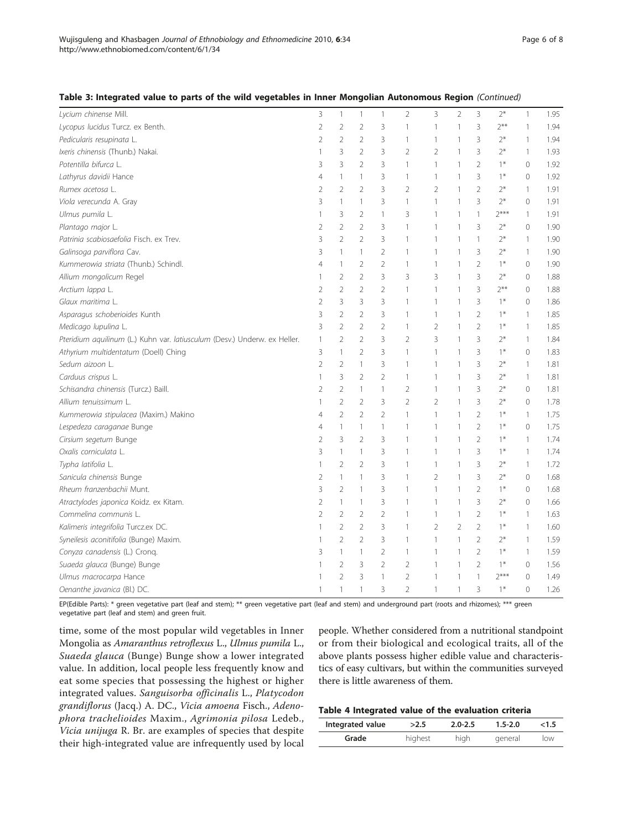| Lycium chinense Mill.                                                     | 3              | $\mathbf{1}$   | $\mathbf{1}$   | $\mathbf{1}$   | $\overline{2}$ | 3              | $\overline{2}$ | 3              | $2*$   | 1                   | 1.95 |
|---------------------------------------------------------------------------|----------------|----------------|----------------|----------------|----------------|----------------|----------------|----------------|--------|---------------------|------|
| Lycopus lucidus Turcz. ex Benth.                                          | $\overline{2}$ | $\overline{2}$ | $\overline{2}$ | 3              | 1              | 1              | $\mathbf{1}$   | 3              | $2***$ | 1                   | 1.94 |
| Pedicularis resupinata L.                                                 | 2              | $\overline{2}$ | $\overline{2}$ | 3              | 1              | 1              | 1              | 3              | $2*$   | 1                   | 1.94 |
| Ixeris chinensis (Thunb.) Nakai.                                          | 1              | 3              | $\overline{2}$ | 3              | 2              | $\overline{2}$ | 1              | 3              | $2*$   | $\mathbf{1}$        | 1.93 |
| Potentilla bifurca L.                                                     | 3              | 3              | $\overline{2}$ | 3              | 1              | 1              | $\mathbf{1}$   | $\overline{2}$ | $1*$   | $\mathsf{O}\xspace$ | 1.92 |
| Lathyrus davidii Hance                                                    | 4              | $\mathbf{1}$   | 1              | 3              | 1              | 1              | $\mathbf{1}$   | 3              | $1*$   | $\overline{0}$      | 1.92 |
| Rumex acetosa L.                                                          | 2              | $\overline{2}$ | $\overline{2}$ | 3              | $\overline{2}$ | $\overline{2}$ | $\mathbf{1}$   | $\overline{2}$ | $2*$   | $\mathbf{1}$        | 1.91 |
| Viola verecunda A. Gray                                                   | 3              | $\mathbf{1}$   | $\mathbf{1}$   | 3              | $\mathbf{1}$   | $\mathbb{1}$   | $\mathbf{1}$   | 3              | $2*$   | $\mathsf{O}\xspace$ | 1.91 |
| Ulmus pumila L.                                                           | 1              | 3              | $\overline{2}$ | 1              | 3              | $\mathbf{1}$   | $\mathbf{1}$   | 1              | $2***$ | $\mathbf{1}$        | 1.91 |
| Plantago major L.                                                         | 2              | $\overline{2}$ | $\overline{2}$ | 3              | 1              | $\mathbf{1}$   | $\mathbf{1}$   | 3              | $2*$   | $\mathsf{O}\xspace$ | 1.90 |
| Patrinia scabiosaefolia Fisch. ex Trev.                                   | 3              | $\overline{2}$ | $\overline{2}$ | 3              | 1              | 1              | 1              | 1              | $2*$   | 1                   | 1.90 |
| Galinsoga parviflora Cav.                                                 | 3              | $\mathbf{1}$   | $\mathbf{1}$   | 2              | 1              | $\mathbf{1}$   | $\mathbf{1}$   | 3              | $2*$   | $\mathbf{1}$        | 1.90 |
| Kummerowia striata (Thunb.) Schindl.                                      | 4              | $\mathbf{1}$   | $\overline{2}$ | 2              | 1              | 1              | $\mathbf{1}$   | $\overline{2}$ | $1*$   | $\mathsf{O}\xspace$ | 1.90 |
| Allium mongolicum Regel                                                   | 1              | $\overline{2}$ | $\overline{2}$ | 3              | 3              | 3              | $\mathbf{1}$   | 3              | $2*$   | $\circ$             | 1.88 |
| Arctium lappa L.                                                          | 2              | $\overline{2}$ | $\overline{2}$ | 2              | 1              | 1              | $\mathbf{1}$   | 3              | $2***$ | $\circ$             | 1.88 |
| Glaux maritima L.                                                         | $\overline{2}$ | 3              | 3              | 3              | 1              | $\mathbf{1}$   | $\mathbf{1}$   | 3              | $1*$   | $\circ$             | 1.86 |
| Asparagus schoberioides Kunth                                             | 3              | $\overline{2}$ | $\overline{2}$ | 3              | 1              | $\mathbf{1}$   | $\mathbf{1}$   | $\overline{2}$ | $1*$   | $\mathbf{1}$        | 1.85 |
| Medicago lupulina L.                                                      | 3              | $\overline{2}$ | $\overline{2}$ | 2              | 1              | $\overline{2}$ | $\mathbf{1}$   | $\overline{2}$ | $1*$   | 1                   | 1.85 |
| Pteridium aquilinum (L.) Kuhn var. latiusculum (Desv.) Underw. ex Heller. | 1              | $\overline{2}$ | 2              | 3              | 2              | 3              | 1              | 3              | $2*$   | 1                   | 1.84 |
| Athyrium multidentatum (Doell) Ching                                      | 3              | $\mathbf{1}$   | $\overline{2}$ | 3              | 1              | $\mathbf{1}$   | 1              | 3              | $1*$   | $\circ$             | 1.83 |
| Sedum aizoon L.                                                           | 2              | $\overline{2}$ | 1              | 3              | 1              | $\mathbf{1}$   | $\mathbf{1}$   | 3              | $2*$   | 1                   | 1.81 |
| Carduus crispus L.                                                        | 1              | 3              | $\overline{2}$ | 2              | $\mathbf{1}$   | $\mathbf{1}$   | 1              | 3              | $2*$   | $\mathbf{1}$        | 1.81 |
| Schisandra chinensis (Turcz.) Baill.                                      | 2              | $\overline{2}$ | $\mathbf{1}$   | 1              | $\overline{2}$ | 1              | $\mathbf{1}$   | 3              | $2*$   | $\mathsf{O}\xspace$ | 1.81 |
| Allium tenuissimum L.                                                     | 1              | $\overline{2}$ | $\overline{2}$ | 3              | $\overline{2}$ | $\overline{2}$ | $\mathbf{1}$   | 3              | $2*$   | $\circ$             | 1.78 |
| Kummerowia stipulacea (Maxim.) Makino                                     | 4              | $\overline{2}$ | $\overline{2}$ | $\overline{2}$ | 1              | $\mathbf{1}$   | $\mathbf{1}$   | $\overline{2}$ | $1*$   | $\mathbf{1}$        | 1.75 |
| Lespedeza caraganae Bunge                                                 | 4              | $\mathbb{1}$   | 1              | 1              | 1              | 1              | $\mathbf{1}$   | $\overline{2}$ | $1*$   | $\mathsf{O}\xspace$ | 1.75 |
| Cirsium segetum Bunge                                                     | 2              | 3              | $\overline{2}$ | 3              | 1              | $\mathbf{1}$   | $\mathbf{1}$   | $\overline{2}$ | $1*$   | $\mathbf{1}$        | 1.74 |
| Oxalis corniculata L.                                                     | 3              | $\mathbf{1}$   | 1              | 3              | 1              | $\mathbf{1}$   | $\mathbf{1}$   | 3              | $1*$   | $\mathbf{1}$        | 1.74 |
| Typha latifolia L.                                                        | 1              | $\overline{2}$ | $\overline{2}$ | 3              | 1              | $\mathbf{1}$   | $\mathbf{1}$   | 3              | $2*$   | 1                   | 1.72 |
| Sanicula chinensis Bunge                                                  | 2              | $\mathbf{1}$   | $\mathbf{1}$   | 3              | 1              | $\overline{2}$ | 1              | 3              | $2*$   | $\circ$             | 1.68 |
| Rheum franzenbachii Munt.                                                 | 3              | $\overline{2}$ | $\mathbf{1}$   | 3              | 1              | $\mathbf{1}$   | $\mathbf{1}$   | $\overline{2}$ | $1*$   | 0                   | 1.68 |
| Atractylodes japonica Koidz. ex Kitam.                                    | $\overline{2}$ | $\mathbf{1}$   | 1              | 3              | 1              | $\mathbf{1}$   | $\mathbf{1}$   | 3              | $2*$   | $\overline{0}$      | 1.66 |
| Commelina communis L.                                                     | 2              | $\overline{2}$ | $\overline{2}$ | 2              | 1              | $\mathbf{1}$   | $\mathbf{1}$   | $\overline{2}$ | $1*$   | 1                   | 1.63 |
| Kalimeris integrifolia Turcz.ex DC.                                       | 1              | $\overline{2}$ | $\overline{2}$ | 3              | 1              | $\overline{2}$ | $\overline{2}$ | $\overline{2}$ | $1*$   | 1                   | 1.60 |
| Syneilesis aconitifolia (Bunge) Maxim.                                    | 1              | $\overline{2}$ | $\overline{2}$ | 3              | 1              | $\mathbf{1}$   | $\mathbf{1}$   | $\overline{2}$ | $2*$   | $\mathbf{1}$        | 1.59 |
| Conyza canadensis (L.) Cronq.                                             | 3              | $\mathbb{1}$   | 1              | 2              | 1              | $\mathbf{1}$   | $\mathbf{1}$   | $\overline{2}$ | $1*$   | $\mathbf{1}$        | 1.59 |
| Suaeda glauca (Bunge) Bunge                                               | 1              | 2              | 3              | $\overline{2}$ | $\overline{2}$ | 1              | 1              | $\overline{2}$ | $1*$   | $\circ$             | 1.56 |
| Ulmus macrocarpa Hance                                                    | 1              | $\overline{2}$ | 3              | 1              | $\overline{2}$ | 1              | $\mathbf{1}$   | 1              | $7***$ | $\circ$             | 1.49 |
| Oenanthe javanica (Bl.) DC.                                               | 1              | $\mathbf{1}$   | $\mathbf{1}$   | 3              | $\overline{2}$ | 1              | $\mathbf{1}$   | 3              | $1*$   | 0                   | 1.26 |
|                                                                           |                |                |                |                |                |                |                |                |        |                     |      |

#### <span id="page-5-0"></span>Table 3: Integrated value to parts of the wild vegetables in Inner Mongolian Autonomous Region (Continued)

EP(Edible Parts): \* green vegetative part (leaf and stem); \*\* green vegetative part (leaf and stem) and underground part (roots and rhizomes); \*\*\* green vegetative part (leaf and stem) and green fruit.

time, some of the most popular wild vegetables in Inner Mongolia as Amaranthus retroflexus L., Ulmus pumila L., Suaeda glauca (Bunge) Bunge show a lower integrated value. In addition, local people less frequently know and eat some species that possessing the highest or higher integrated values. Sanguisorba officinalis L., Platycodon grandiflorus (Jacq.) A. DC., Vicia amoena Fisch., Adenophora trachelioides Maxim., Agrimonia pilosa Ledeb., Vicia unijuga R. Br. are examples of species that despite their high-integrated value are infrequently used by local people. Whether considered from a nutritional standpoint or from their biological and ecological traits, all of the above plants possess higher edible value and characteristics of easy cultivars, but within the communities surveyed there is little awareness of them.

# Table 4 Integrated value of the evaluation criteria

| Integrated value | >2.5    | $2.0 - 2.5$ | $1.5 - 2.0$ | <1.5 |
|------------------|---------|-------------|-------------|------|
| Grade            | highest | high        | general     | low  |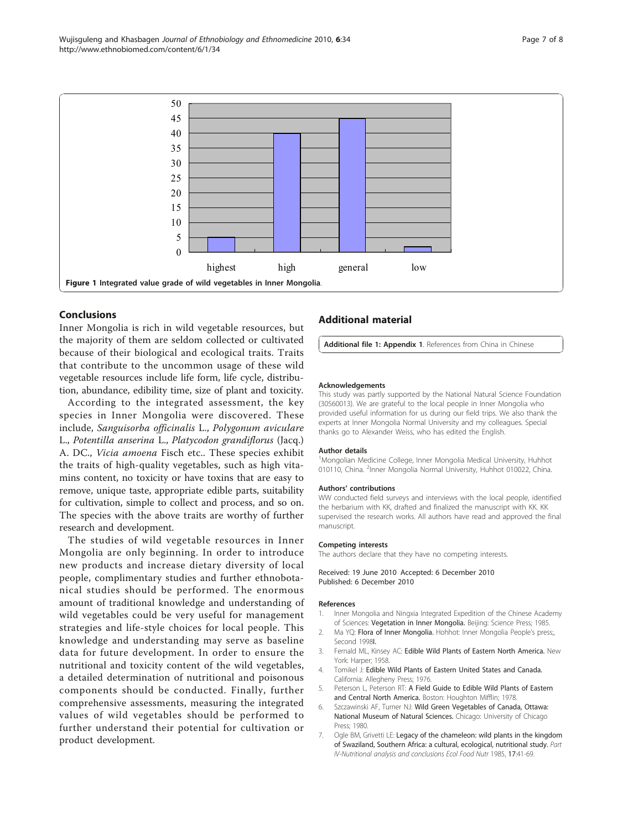<span id="page-6-0"></span>

### Conclusions

Inner Mongolia is rich in wild vegetable resources, but the majority of them are seldom collected or cultivated because of their biological and ecological traits. Traits that contribute to the uncommon usage of these wild vegetable resources include life form, life cycle, distribution, abundance, edibility time, size of plant and toxicity.

According to the integrated assessment, the key species in Inner Mongolia were discovered. These include, Sanguisorba officinalis L., Polygonum aviculare L., Potentilla anserina L., Platycodon grandiflorus (Jacq.) A. DC., Vicia amoena Fisch etc.. These species exhibit the traits of high-quality vegetables, such as high vitamins content, no toxicity or have toxins that are easy to remove, unique taste, appropriate edible parts, suitability for cultivation, simple to collect and process, and so on. The species with the above traits are worthy of further research and development.

The studies of wild vegetable resources in Inner Mongolia are only beginning. In order to introduce new products and increase dietary diversity of local people, complimentary studies and further ethnobotanical studies should be performed. The enormous amount of traditional knowledge and understanding of wild vegetables could be very useful for management strategies and life-style choices for local people. This knowledge and understanding may serve as baseline data for future development. In order to ensure the nutritional and toxicity content of the wild vegetables, a detailed determination of nutritional and poisonous components should be conducted. Finally, further comprehensive assessments, measuring the integrated values of wild vegetables should be performed to further understand their potential for cultivation or product development.

# Additional material

[Additional file 1: A](http://www.biomedcentral.com/content/supplementary/1746-4269-6-34-S1.DOC)ppendix 1. References from China in Chinese

#### Acknowledgements

This study was partly supported by the National Natural Science Foundation (30560013). We are grateful to the local people in Inner Mongolia who provided useful information for us during our field trips. We also thank the experts at Inner Mongolia Normal University and my colleagues. Special thanks go to Alexander Weiss, who has edited the English.

#### Author details

<sup>1</sup>Mongolian Medicine College, Inner Mongolia Medical University, Huhhot 010110, China. <sup>2</sup>Inner Mongolia Normal University, Huhhot 010022, China.

#### Authors' contributions

WW conducted field surveys and interviews with the local people, identified the herbarium with KK, drafted and finalized the manuscript with KK. KK supervised the research works. All authors have read and approved the final manuscript.

#### Competing interests

The authors declare that they have no competing interests.

#### Received: 19 June 2010 Accepted: 6 December 2010 Published: 6 December 2010

#### References

- 1. Inner Mongolia and Ningxia Integrated Expedition of the Chinese Academy of Sciences: Vegetation in Inner Mongolia. Beijing: Science Press; 1985.
- 2. Ma YQ: Flora of Inner Mongolia. Hohhot: Inner Mongolia People's press;, Second 1998I.
- 3. Fernald ML, Kinsey AC: Edible Wild Plants of Eastern North America. New York: Harper; 1958.
- 4. Tomikel J: Edible Wild Plants of Eastern United States and Canada. California: Allegheny Press; 1976.
- 5. Peterson L, Peterson RT: A Field Guide to Edible Wild Plants of Eastern and Central North America. Boston: Houghton Mifflin; 1978.
- 6. Szczawinski AF, Turner NJ: Wild Green Vegetables of Canada, Ottawa: National Museum of Natural Sciences. Chicago: University of Chicago Press; 1980.
- 7. Ogle BM, Grivetti LE: Legacy of the chameleon: wild plants in the kingdom of Swaziland, Southern Africa: a cultural, ecological, nutritional study. Part IV-Nutritional analysis and conclusions Ecol Food Nutr 1985, 17:41-69.